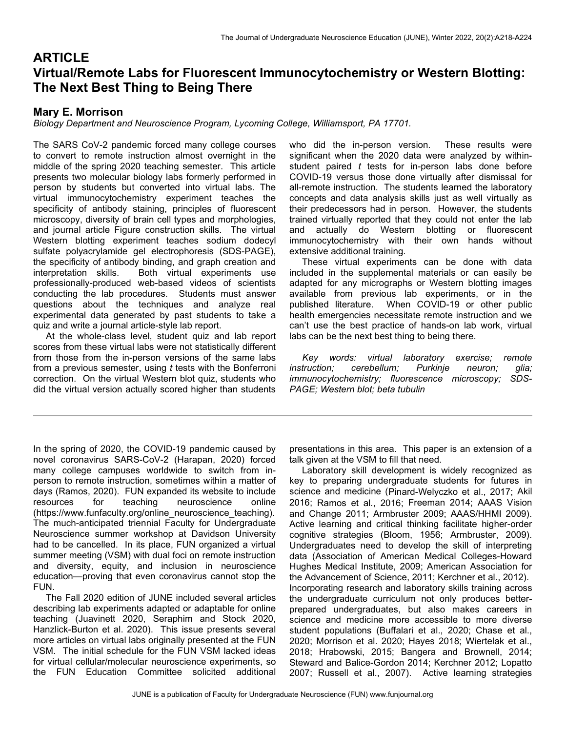# ARTICLE Virtual/Remote Labs for Fluorescent Immunocytochemistry or Western Blotting: The Next Best Thing to Being There

# Mary E. Morrison

Biology Department and Neuroscience Program, Lycoming College, Williamsport, PA 17701.

The SARS CoV-2 pandemic forced many college courses to convert to remote instruction almost overnight in the middle of the spring 2020 teaching semester. This article presents two molecular biology labs formerly performed in person by students but converted into virtual labs. The virtual immunocytochemistry experiment teaches the specificity of antibody staining, principles of fluorescent microscopy, diversity of brain cell types and morphologies, and journal article Figure construction skills. The virtual Western blotting experiment teaches sodium dodecyl sulfate polyacrylamide gel electrophoresis (SDS-PAGE), the specificity of antibody binding, and graph creation and interpretation skills. Both virtual experiments use professionally-produced web-based videos of scientists conducting the lab procedures. Students must answer questions about the techniques and analyze real experimental data generated by past students to take a quiz and write a journal article-style lab report.

 At the whole-class level, student quiz and lab report scores from these virtual labs were not statistically different from those from the in-person versions of the same labs from a previous semester, using t tests with the Bonferroni correction. On the virtual Western blot quiz, students who did the virtual version actually scored higher than students

who did the in-person version. These results were significant when the 2020 data were analyzed by withinstudent paired  $t$  tests for in-person labs done before COVID-19 versus those done virtually after dismissal for all-remote instruction. The students learned the laboratory concepts and data analysis skills just as well virtually as their predecessors had in person. However, the students trained virtually reported that they could not enter the lab and actually do Western blotting or fluorescent immunocytochemistry with their own hands without extensive additional training.

 These virtual experiments can be done with data included in the supplemental materials or can easily be adapted for any micrographs or Western blotting images available from previous lab experiments, or in the published literature. When COVID-19 or other public health emergencies necessitate remote instruction and we can't use the best practice of hands-on lab work, virtual labs can be the next best thing to being there.

 Key words: virtual laboratory exercise; remote instruction; cerebellum; Purkinje neuron; glia; immunocytochemistry; fluorescence microscopy; SDS-PAGE; Western blot; beta tubulin

In the spring of 2020, the COVID-19 pandemic caused by novel coronavirus SARS-CoV-2 (Harapan, 2020) forced many college campuses worldwide to switch from inperson to remote instruction, sometimes within a matter of days (Ramos, 2020). FUN expanded its website to include resources for teaching neuroscience online (https://www.funfaculty.org/online\_neuroscience\_teaching). The much-anticipated triennial Faculty for Undergraduate Neuroscience summer workshop at Davidson University had to be cancelled. In its place, FUN organized a virtual summer meeting (VSM) with dual foci on remote instruction and diversity, equity, and inclusion in neuroscience education—proving that even coronavirus cannot stop the FUN.

 The Fall 2020 edition of JUNE included several articles describing lab experiments adapted or adaptable for online teaching (Juavinett 2020, Seraphim and Stock 2020, Hanzlick-Burton et al. 2020). This issue presents several more articles on virtual labs originally presented at the FUN VSM. The initial schedule for the FUN VSM lacked ideas for virtual cellular/molecular neuroscience experiments, so the FUN Education Committee solicited additional presentations in this area. This paper is an extension of a talk given at the VSM to fill that need.

 Laboratory skill development is widely recognized as key to preparing undergraduate students for futures in science and medicine (Pinard-Welyczko et al., 2017; Akil 2016; Ramos et al., 2016; Freeman 2014; AAAS Vision and Change 2011; Armbruster 2009; AAAS/HHMI 2009). Active learning and critical thinking facilitate higher-order cognitive strategies (Bloom, 1956; Armbruster, 2009). Undergraduates need to develop the skill of interpreting data (Association of American Medical Colleges-Howard Hughes Medical Institute, 2009; American Association for the Advancement of Science, 2011; Kerchner et al., 2012). Incorporating research and laboratory skills training across the undergraduate curriculum not only produces betterprepared undergraduates, but also makes careers in science and medicine more accessible to more diverse student populations (Buffalari et al., 2020; Chase et al., 2020; Morrison et al. 2020; Hayes 2018; Wiertelak et al., 2018; Hrabowski, 2015; Bangera and Brownell, 2014; Steward and Balice-Gordon 2014; Kerchner 2012; Lopatto 2007; Russell et al., 2007). Active learning strategies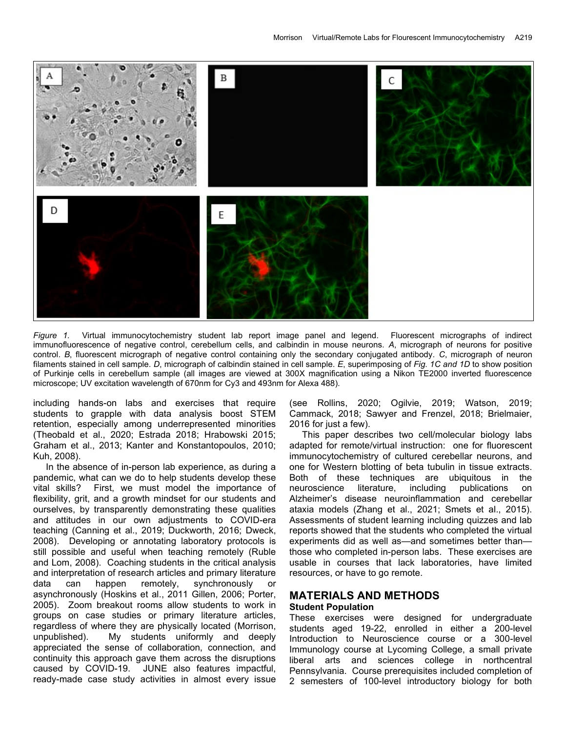

Figure 1. Virtual immunocytochemistry student lab report image panel and legend. Fluorescent micrographs of indirect immunofluorescence of negative control, cerebellum cells, and calbindin in mouse neurons. A, micrograph of neurons for positive control. B, fluorescent micrograph of negative control containing only the secondary conjugated antibody. C, micrograph of neuron filaments stained in cell sample. D, micrograph of calbindin stained in cell sample. E, superimposing of Fig. 1C and 1D to show position of Purkinje cells in cerebellum sample (all images are viewed at 300X magnification using a Nikon TE2000 inverted fluorescence microscope; UV excitation wavelength of 670nm for Cy3 and 493nm for Alexa 488).

including hands-on labs and exercises that require students to grapple with data analysis boost STEM retention, especially among underrepresented minorities (Theobald et al., 2020; Estrada 2018; Hrabowski 2015; Graham et al., 2013; Kanter and Konstantopoulos, 2010; Kuh, 2008).

 In the absence of in-person lab experience, as during a pandemic, what can we do to help students develop these vital skills? First, we must model the importance of flexibility, grit, and a growth mindset for our students and ourselves, by transparently demonstrating these qualities and attitudes in our own adjustments to COVID-era teaching (Canning et al., 2019; Duckworth, 2016; Dweck, 2008). Developing or annotating laboratory protocols is still possible and useful when teaching remotely (Ruble and Lom, 2008). Coaching students in the critical analysis and interpretation of research articles and primary literature data can happen remotely, synchronously or asynchronously (Hoskins et al., 2011 Gillen, 2006; Porter, 2005). Zoom breakout rooms allow students to work in groups on case studies or primary literature articles, regardless of where they are physically located (Morrison, unpublished). My students uniformly and deeply appreciated the sense of collaboration, connection, and continuity this approach gave them across the disruptions caused by COVID-19. JUNE also features impactful, ready-made case study activities in almost every issue (see Rollins, 2020; Ogilvie, 2019; Watson, 2019; Cammack, 2018; Sawyer and Frenzel, 2018; Brielmaier, 2016 for just a few).

 This paper describes two cell/molecular biology labs adapted for remote/virtual instruction: one for fluorescent immunocytochemistry of cultured cerebellar neurons, and one for Western blotting of beta tubulin in tissue extracts. Both of these techniques are ubiquitous in the neuroscience literature, including publications on Alzheimer's disease neuroinflammation and cerebellar ataxia models (Zhang et al., 2021; Smets et al., 2015). Assessments of student learning including quizzes and lab reports showed that the students who completed the virtual experiments did as well as—and sometimes better than those who completed in-person labs. These exercises are usable in courses that lack laboratories, have limited resources, or have to go remote.

# MATERIALS AND METHODS

#### Student Population

These exercises were designed for undergraduate students aged 19-22, enrolled in either a 200-level Introduction to Neuroscience course or a 300-level Immunology course at Lycoming College, a small private liberal arts and sciences college in northcentral Pennsylvania. Course prerequisites included completion of 2 semesters of 100-level introductory biology for both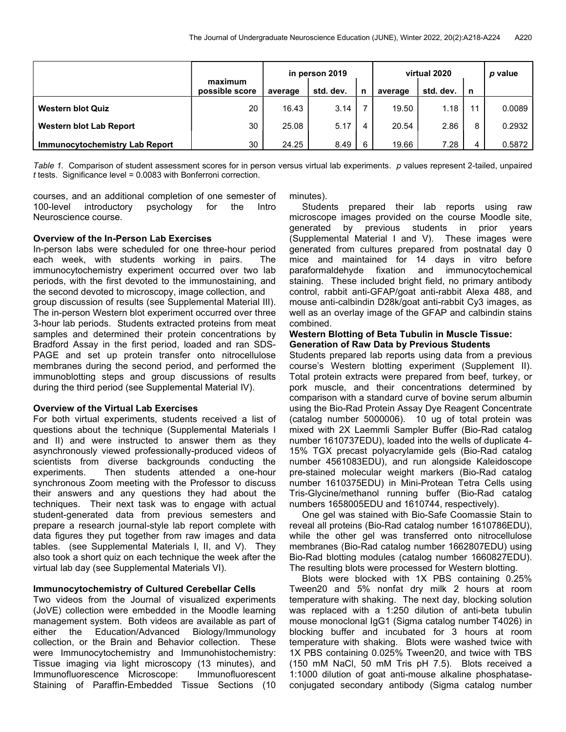|                                       |                           | in person 2019 |           |   | virtual 2020 |           |    | p value |
|---------------------------------------|---------------------------|----------------|-----------|---|--------------|-----------|----|---------|
|                                       | maximum<br>possible score | average        | std. dev. | n | average      | std. dev. | n  |         |
| <b>Western blot Quiz</b>              | 20                        | 16.43          | 3.14      |   | 19.50        | 1.18      | 11 | 0.0089  |
| Western blot Lab Report               | 30                        | 25.08          | 5.17      | 4 | 20.54        | 2.86      | 8  | 0.2932  |
| <b>Immunocytochemistry Lab Report</b> | 30                        | 24.25          | 8.49      | 6 | 19.66        | 7.28      | 4  | 0.5872  |

Table 1. Comparison of student assessment scores for in person versus virtual lab experiments. p values represent 2-tailed, unpaired t tests. Significance level = 0.0083 with Bonferroni correction.

courses, and an additional completion of one semester of 100-level introductory psychology for the Intro Neuroscience course.

### Overview of the In-Person Lab Exercises

In-person labs were scheduled for one three-hour period each week, with students working in pairs. The immunocytochemistry experiment occurred over two lab periods, with the first devoted to the immunostaining, and the second devoted to microscopy, image collection, and group discussion of results (see Supplemental Material III). The in-person Western blot experiment occurred over three 3-hour lab periods. Students extracted proteins from meat samples and determined their protein concentrations by Bradford Assay in the first period, loaded and ran SDS-PAGE and set up protein transfer onto nitrocellulose membranes during the second period, and performed the immunoblotting steps and group discussions of results during the third period (see Supplemental Material IV).

# Overview of the Virtual Lab Exercises

For both virtual experiments, students received a list of questions about the technique (Supplemental Materials I and II) and were instructed to answer them as they asynchronously viewed professionally-produced videos of scientists from diverse backgrounds conducting the experiments. Then students attended a one-hour synchronous Zoom meeting with the Professor to discuss their answers and any questions they had about the techniques. Their next task was to engage with actual student-generated data from previous semesters and prepare a research journal-style lab report complete with data figures they put together from raw images and data tables. (see Supplemental Materials I, II, and V). They also took a short quiz on each technique the week after the virtual lab day (see Supplemental Materials VI).

# Immunocytochemistry of Cultured Cerebellar Cells

Two videos from the Journal of visualized experiments (JoVE) collection were embedded in the Moodle learning management system. Both videos are available as part of either the Education/Advanced Biology/Immunology collection, or the Brain and Behavior collection. These were Immunocytochemistry and Immunohistochemistry: Tissue imaging via light microscopy (13 minutes), and Immunofluorescence Microscope: Immunofluorescent Staining of Paraffin-Embedded Tissue Sections (10 minutes).

 Students prepared their lab reports using raw microscope images provided on the course Moodle site, generated by previous students in prior years (Supplemental Material I and V). These images were generated from cultures prepared from postnatal day 0 mice and maintained for 14 days in vitro before paraformaldehyde fixation and immunocytochemical staining. These included bright field, no primary antibody control, rabbit anti-GFAP/goat anti-rabbit Alexa 488, and mouse anti-calbindin D28k/goat anti-rabbit Cy3 images, as well as an overlay image of the GFAP and calbindin stains combined.

#### Western Blotting of Beta Tubulin in Muscle Tissue: Generation of Raw Data by Previous Students

Students prepared lab reports using data from a previous course's Western blotting experiment (Supplement II). Total protein extracts were prepared from beef, turkey, or pork muscle, and their concentrations determined by comparison with a standard curve of bovine serum albumin using the Bio-Rad Protein Assay Dye Reagent Concentrate (catalog number 5000006). 10 ug of total protein was mixed with 2X Laemmli Sampler Buffer (Bio-Rad catalog number 1610737EDU), loaded into the wells of duplicate 4- 15% TGX precast polyacrylamide gels (Bio-Rad catalog number 4561083EDU), and run alongside Kaleidoscope pre-stained molecular weight markers (Bio-Rad catalog number 1610375EDU) in Mini-Protean Tetra Cells using Tris-Glycine/methanol running buffer (Bio-Rad catalog numbers 1658005EDU and 1610744, respectively).

 One gel was stained with Bio-Safe Coomassie Stain to reveal all proteins (Bio-Rad catalog number 1610786EDU), while the other gel was transferred onto nitrocellulose membranes (Bio-Rad catalog number 1662807EDU) using Bio-Rad blotting modules (catalog number 1660827EDU). The resulting blots were processed for Western blotting.

 Blots were blocked with 1X PBS containing 0.25% Tween20 and 5% nonfat dry milk 2 hours at room temperature with shaking. The next day, blocking solution was replaced with a 1:250 dilution of anti-beta tubulin mouse monoclonal IgG1 (Sigma catalog number T4026) in blocking buffer and incubated for 3 hours at room temperature with shaking. Blots were washed twice with 1X PBS containing 0.025% Tween20, and twice with TBS (150 mM NaCl, 50 mM Tris pH 7.5). Blots received a 1:1000 dilution of goat anti-mouse alkaline phosphataseconjugated secondary antibody (Sigma catalog number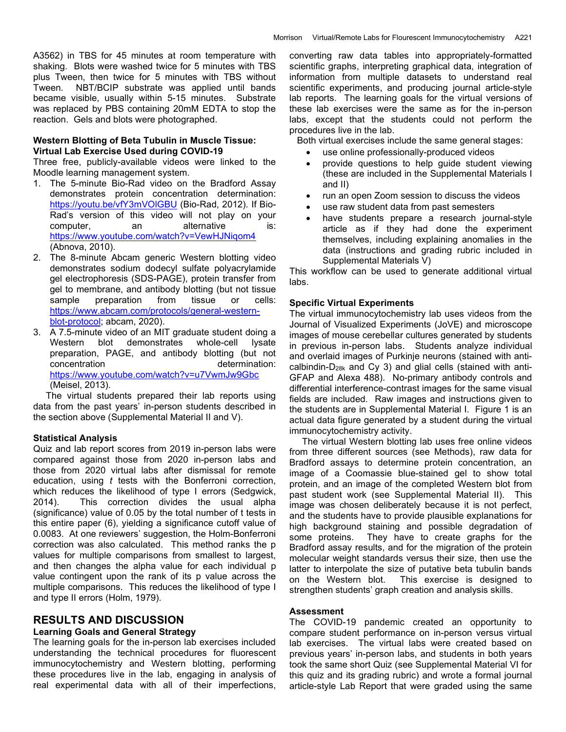A3562) in TBS for 45 minutes at room temperature with shaking. Blots were washed twice for 5 minutes with TBS plus Tween, then twice for 5 minutes with TBS without Tween. NBT/BCIP substrate was applied until bands became visible, usually within 5-15 minutes. Substrate was replaced by PBS containing 20mM EDTA to stop the reaction. Gels and blots were photographed.

#### Western Blotting of Beta Tubulin in Muscle Tissue: Virtual Lab Exercise Used during COVID-19

Three free, publicly-available videos were linked to the Moodle learning management system.

- 1. The 5-minute Bio-Rad video on the Bradford Assay demonstrates protein concentration determination: https://youtu.be/vfY3mVOlGBU (Bio-Rad, 2012). If Bio-Rad's version of this video will not play on your computer, an alternative is: https://www.youtube.com/watch?v=VewHJNiqom4 (Abnova, 2010).
- 2. The 8-minute Abcam generic Western blotting video demonstrates sodium dodecyl sulfate polyacrylamide gel electrophoresis (SDS-PAGE), protein transfer from gel to membrane, and antibody blotting (but not tissue sample preparation from tissue or cells: https://www.abcam.com/protocols/general-westernblot-protocol; abcam, 2020).
- 3. A 7.5-minute video of an MIT graduate student doing a Western blot demonstrates whole-cell lysate preparation, PAGE, and antibody blotting (but not concentration determination: https://www.youtube.com/watch?v=u7VwmJw9Gbc (Meisel, 2013).

 The virtual students prepared their lab reports using data from the past years' in-person students described in the section above (Supplemental Material II and V).

#### Statistical Analysis

Quiz and lab report scores from 2019 in-person labs were compared against those from 2020 in-person labs and those from 2020 virtual labs after dismissal for remote education, using t tests with the Bonferroni correction, which reduces the likelihood of type I errors (Sedgwick, 2014). This correction divides the usual alpha (significance) value of 0.05 by the total number of t tests in this entire paper (6), yielding a significance cutoff value of 0.0083. At one reviewers' suggestion, the Holm-Bonferroni correction was also calculated. This method ranks the p values for multiple comparisons from smallest to largest, and then changes the alpha value for each individual p value contingent upon the rank of its p value across the multiple comparisons. This reduces the likelihood of type I and type II errors (Holm, 1979).

# RESULTS AND DISCUSSION

#### Learning Goals and General Strategy

The learning goals for the in-person lab exercises included understanding the technical procedures for fluorescent immunocytochemistry and Western blotting, performing these procedures live in the lab, engaging in analysis of real experimental data with all of their imperfections,

converting raw data tables into appropriately-formatted scientific graphs, interpreting graphical data, integration of information from multiple datasets to understand real scientific experiments, and producing journal article-style lab reports. The learning goals for the virtual versions of these lab exercises were the same as for the in-person labs, except that the students could not perform the procedures live in the lab.

Both virtual exercises include the same general stages:

- use online professionally-produced videos
- provide questions to help guide student viewing (these are included in the Supplemental Materials I and II)
- run an open Zoom session to discuss the videos
- use raw student data from past semesters
- have students prepare a research journal-style article as if they had done the experiment themselves, including explaining anomalies in the data (instructions and grading rubric included in Supplemental Materials V)

This workflow can be used to generate additional virtual labs.

#### Specific Virtual Experiments

The virtual immunocytochemistry lab uses videos from the Journal of Visualized Experiments (JoVE) and microscope images of mouse cerebellar cultures generated by students in previous in-person labs. Students analyze individual and overlaid images of Purkinje neurons (stained with anticalbindin-D28k and Cy 3) and glial cells (stained with anti-GFAP and Alexa 488). No-primary antibody controls and differential interference-contrast images for the same visual fields are included. Raw images and instructions given to the students are in Supplemental Material I. Figure 1 is an actual data figure generated by a student during the virtual immunocytochemistry activity.

 The virtual Western blotting lab uses free online videos from three different sources (see Methods), raw data for Bradford assays to determine protein concentration, an image of a Coomassie blue-stained gel to show total protein, and an image of the completed Western blot from past student work (see Supplemental Material II). This image was chosen deliberately because it is not perfect, and the students have to provide plausible explanations for high background staining and possible degradation of some proteins. They have to create graphs for the Bradford assay results, and for the migration of the protein molecular weight standards versus their size, then use the latter to interpolate the size of putative beta tubulin bands on the Western blot. This exercise is designed to strengthen students' graph creation and analysis skills.

#### Assessment

The COVID-19 pandemic created an opportunity to compare student performance on in-person versus virtual lab exercises. The virtual labs were created based on previous years' in-person labs, and students in both years took the same short Quiz (see Supplemental Material VI for this quiz and its grading rubric) and wrote a formal journal article-style Lab Report that were graded using the same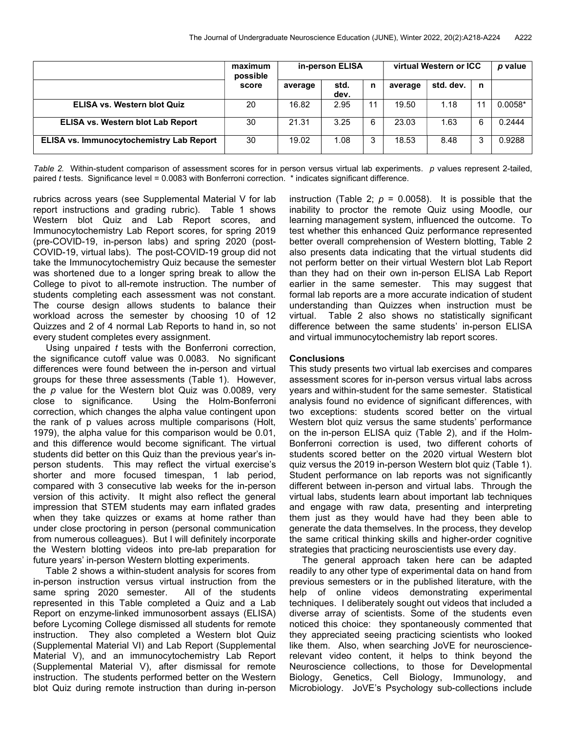|                                          | maximum<br>possible | in-person ELISA |              |    | virtual Western or ICC |           |    | p value   |
|------------------------------------------|---------------------|-----------------|--------------|----|------------------------|-----------|----|-----------|
|                                          | score               | average         | std.<br>dev. | n  | average                | std. dev. | n  |           |
| <b>ELISA vs. Western blot Quiz</b>       | 20                  | 16.82           | 2.95         | 11 | 19.50                  | 1.18      | 14 | $0.0058*$ |
| <b>ELISA vs. Western blot Lab Report</b> | 30                  | 21.31           | 3.25         | 6  | 23.03                  | 1.63      | 6  | 0.2444    |
| ELISA vs. Immunocytochemistry Lab Report | 30                  | 19.02           | 1.08         | 3  | 18.53                  | 8.48      | 3  | 0.9288    |

Table 2. Within-student comparison of assessment scores for in person versus virtual lab experiments. p values represent 2-tailed, paired t tests. Significance level = 0.0083 with Bonferroni correction. \* indicates significant difference.

rubrics across years (see Supplemental Material V for lab report instructions and grading rubric). Table 1 shows Western blot Quiz and Lab Report scores, and Immunocytochemistry Lab Report scores, for spring 2019 (pre-COVID-19, in-person labs) and spring 2020 (post-COVID-19, virtual labs). The post-COVID-19 group did not take the Immunocytochemistry Quiz because the semester was shortened due to a longer spring break to allow the College to pivot to all-remote instruction. The number of students completing each assessment was not constant. The course design allows students to balance their workload across the semester by choosing 10 of 12 Quizzes and 2 of 4 normal Lab Reports to hand in, so not every student completes every assignment.

Using unpaired  $t$  tests with the Bonferroni correction, the significance cutoff value was 0.0083. No significant differences were found between the in-person and virtual groups for these three assessments (Table 1). However, the  $p$  value for the Western blot Quiz was 0.0089, very close to significance. Using the Holm-Bonferroni correction, which changes the alpha value contingent upon the rank of p values across multiple comparisons (Holt, 1979), the alpha value for this comparison would be 0.01, and this difference would become significant. The virtual students did better on this Quiz than the previous year's inperson students. This may reflect the virtual exercise's shorter and more focused timespan, 1 lab period, compared with 3 consecutive lab weeks for the in-person version of this activity. It might also reflect the general impression that STEM students may earn inflated grades when they take quizzes or exams at home rather than under close proctoring in person (personal communication from numerous colleagues). But I will definitely incorporate the Western blotting videos into pre-lab preparation for future years' in-person Western blotting experiments.

 Table 2 shows a within-student analysis for scores from in-person instruction versus virtual instruction from the same spring 2020 semester. All of the students represented in this Table completed a Quiz and a Lab Report on enzyme-linked immunosorbent assays (ELISA) before Lycoming College dismissed all students for remote instruction. They also completed a Western blot Quiz (Supplemental Material VI) and Lab Report (Supplemental Material V), and an immunocytochemistry Lab Report (Supplemental Material V), after dismissal for remote instruction. The students performed better on the Western blot Quiz during remote instruction than during in-person instruction (Table 2;  $p = 0.0058$ ). It is possible that the inability to proctor the remote Quiz using Moodle, our learning management system, influenced the outcome. To test whether this enhanced Quiz performance represented better overall comprehension of Western blotting, Table 2 also presents data indicating that the virtual students did not perform better on their virtual Western blot Lab Report than they had on their own in-person ELISA Lab Report earlier in the same semester. This may suggest that formal lab reports are a more accurate indication of student understanding than Quizzes when instruction must be virtual. Table 2 also shows no statistically significant difference between the same students' in-person ELISA and virtual immunocytochemistry lab report scores.

#### **Conclusions**

This study presents two virtual lab exercises and compares assessment scores for in-person versus virtual labs across years and within-student for the same semester. Statistical analysis found no evidence of significant differences, with two exceptions: students scored better on the virtual Western blot quiz versus the same students' performance on the in-person ELISA quiz (Table 2), and if the Holm-Bonferroni correction is used, two different cohorts of students scored better on the 2020 virtual Western blot quiz versus the 2019 in-person Western blot quiz (Table 1). Student performance on lab reports was not significantly different between in-person and virtual labs. Through the virtual labs, students learn about important lab techniques and engage with raw data, presenting and interpreting them just as they would have had they been able to generate the data themselves. In the process, they develop the same critical thinking skills and higher-order cognitive strategies that practicing neuroscientists use every day.

 The general approach taken here can be adapted readily to any other type of experimental data on hand from previous semesters or in the published literature, with the help of online videos demonstrating experimental techniques. I deliberately sought out videos that included a diverse array of scientists. Some of the students even noticed this choice: they spontaneously commented that they appreciated seeing practicing scientists who looked like them. Also, when searching JoVE for neurosciencerelevant video content, it helps to think beyond the Neuroscience collections, to those for Developmental Biology, Genetics, Cell Biology, Immunology, and Microbiology. JoVE's Psychology sub-collections include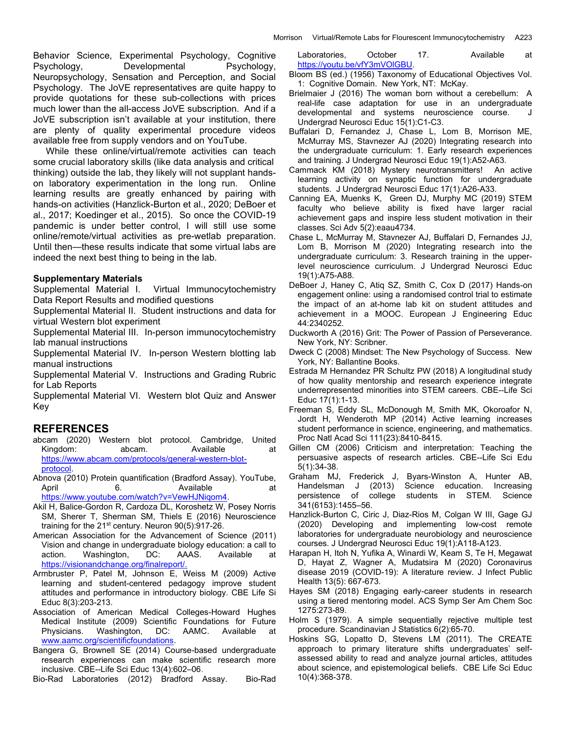Behavior Science, Experimental Psychology, Cognitive Psychology, Developmental Psychology, Neuropsychology, Sensation and Perception, and Social Psychology. The JoVE representatives are quite happy to provide quotations for these sub-collections with prices much lower than the all-access JoVE subscription. And if a JoVE subscription isn't available at your institution, there are plenty of quality experimental procedure videos available free from supply vendors and on YouTube.

 While these online/virtual/remote activities can teach some crucial laboratory skills (like data analysis and critical thinking) outside the lab, they likely will not supplant handson laboratory experimentation in the long run. Online learning results are greatly enhanced by pairing with hands-on activities (Hanzlick-Burton et al., 2020; DeBoer et al., 2017; Koedinger et al., 2015). So once the COVID-19 pandemic is under better control, I will still use some online/remote/virtual activities as pre-wetlab preparation. Until then—these results indicate that some virtual labs are indeed the next best thing to being in the lab.

# Supplementary Materials

Supplemental Material I. Virtual Immunocytochemistry Data Report Results and modified questions

Supplemental Material II. Student instructions and data for virtual Western blot experiment

Supplemental Material III. In-person immunocytochemistry lab manual instructions

Supplemental Material IV. In-person Western blotting lab manual instructions

Supplemental Material V. Instructions and Grading Rubric for Lab Reports

Supplemental Material VI. Western blot Quiz and Answer Key

# REFERENCES

- abcam (2020) Western blot protocol. Cambridge, United Kingdom: abcam. Available at https://www.abcam.com/protocols/general-western-blotprotocol.
- Abnova (2010) Protein quantification (Bradford Assay). YouTube, April 6. 6. Available at https://www.youtube.com/watch?v=VewHJNiqom4.
- Akil H, Balice-Gordon R, Cardoza DL, Koroshetz W, Posey Norris SM, Sherer T, Sherman SM, Thiels E (2016) Neuroscience training for the  $21<sup>st</sup>$  century. Neuron  $90(5):917-26$ .
- American Association for the Advancement of Science (2011) Vision and change in undergraduate biology education: a call to action. Washington, DC: AAAS. Available at https://visionandchange.org/finalreport/.
- Armbruster P, Patel M, Johnson E, Weiss M (2009) Active learning and student-centered pedagogy improve student attitudes and performance in introductory biology. CBE Life Si Educ 8(3):203-213.
- Association of American Medical Colleges-Howard Hughes Medical Institute (2009) Scientific Foundations for Future Physicians. Washington, DC: AAMC. Available at www.aamc.org/scientificfoundations.
- Bangera G, Brownell SE (2014) Course-based undergraduate research experiences can make scientific research more inclusive. CBE--Life Sci Educ 13(4):602–06.

Bio-Rad Laboratories (2012) Bradford Assay. Bio-Rad

Laboratories, October 17. Available at https://youtu.be/vfY3mVOlGBU.

- Bloom BS (ed.) (1956) Taxonomy of Educational Objectives Vol. 1: Cognitive Domain. New York, NT: McKay.
- Brielmaier J (2016) The woman born without a cerebellum: A real-life case adaptation for use in an undergraduate developmental and systems neuroscience course. J Undergrad Neurosci Educ 15(1):C1-C3.
- Buffalari D, Fernandez J, Chase L, Lom B, Morrison ME, McMurray MS, Stavnezer AJ (2020) Integrating research into the undergraduate curriculum: 1. Early research experiences and training. J Undergrad Neurosci Educ 19(1):A52-A63.
- Cammack KM (2018) Mystery neurotransmitters! An active learning activity on synaptic function for undergraduate students. J Undergrad Neurosci Educ 17(1):A26-A33.
- Canning EA, Muenks K, Green DJ, Murphy MC (2019) STEM faculty who believe ability is fixed have larger racial achievement gaps and inspire less student motivation in their classes. Sci Adv 5(2):eaau4734.
- Chase L, McMurray M, Stavnezer AJ, Buffalari D, Fernandes JJ, Lom B, Morrison M (2020) Integrating research into the undergraduate curriculum: 3. Research training in the upperlevel neuroscience curriculum. J Undergrad Neurosci Educ 19(1):A75-A88.
- DeBoer J, Haney C, Atiq SZ, Smith C, Cox D (2017) Hands-on engagement online: using a randomised control trial to estimate the impact of an at-home lab kit on student attitudes and achievement in a MOOC. European J Engineering Educ 44:2340252.
- Duckworth A (2016) Grit: The Power of Passion of Perseverance. New York, NY: Scribner.
- Dweck C (2008) Mindset: The New Psychology of Success. New York, NY: Ballantine Books.
- Estrada M Hernandez PR Schultz PW (2018) A longitudinal study of how quality mentorship and research experience integrate underrepresented minorities into STEM careers. CBE--Life Sci Educ 17(1):1-13.
- Freeman S, Eddy SL, McDonough M, Smith MK, Okoroafor N, Jordt H, Wenderoth MP (2014) Active learning increases student performance in science, engineering, and mathematics. Proc Natl Acad Sci 111(23):8410-8415.
- Gillen CM (2006) Criticism and interpretation: Teaching the persuasive aspects of research articles. CBE--Life Sci Edu 5(1):34-38.
- Graham MJ, Frederick J, Byars-Winston A, Hunter AB, Handelsman J (2013) Science education. Increasing persistence of college students in STEM. Science 341(6153):1455–56.
- Hanzlick-Burton C, Ciric J, Diaz-Rios M, Colgan W III, Gage GJ (2020) Developing and implementing low-cost remote laboratories for undergraduate neurobiology and neuroscience courses. J Undergrad Neurosci Educ 19(1):A118-A123.
- Harapan H, Itoh N, Yufika A, Winardi W, Keam S, Te H, Megawat D, Hayat Z, Wagner A, Mudatsira M (2020) Coronavirus disease 2019 (COVID-19): A literature review. J Infect Public Health 13(5): 667-673.
- Hayes SM (2018) Engaging early-career students in research using a tiered mentoring model. ACS Symp Ser Am Chem Soc 1275:273-89.
- Holm S (1979). A simple sequentially rejective multiple test procedure. Scandinavian J Statistics 6(2):65-70.
- Hoskins SG, Lopatto D, Stevens LM (2011). The CREATE approach to primary literature shifts undergraduates' selfassessed ability to read and analyze journal articles, attitudes about science, and epistemological beliefs. CBE Life Sci Educ 10(4):368-378.